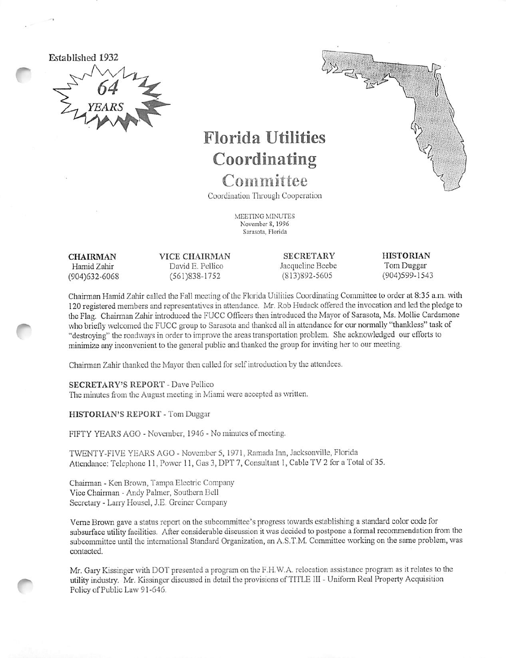

# Florida Utilities Coordinating

Committee Coordination Through Cooperation

> MEETING MINUTES November 8,1996 Sarasota, Florida

CHAIRMAN Hamid Zahir (904)632-6068 VICE CHAIRMAN David E. Pcllico (561)838-1752

**SECRETARY** Jacqueline Bcebe (813)892-5605

**HISTORIAN** Tom Duggar (904)599-1543

Chaimian Hamid Zaliir called the Fall meeting of the Florida Utilities Coordinating Committee to order at 8:35 a.m. with 120 registered members and representatives in attendance. Mr. Rob Hudack offered the invocation and led the pledge to the Flag. Chairman Zahir introduced the FUCC Officers then introduced the Mayor of Sarasota, Ms. Mollie Cardamone who briefly welcomed the FUCC group to Sarasota and thanked all in attendance for our normally "thankless" task of "destroying" the roadways in order to improve the areas transportation problem. She acknowledged our efforts to minimize any inconvenient to the general public and thanked the group for inviting her to our meeting.

Chairman Zahir thanked the Mayor then culled for self introduction by the attendees.

SECRETARY'S REPORT - Dave Pellico The minutes from the August meeting in Miami were accepted as written.

HISTORIAN'S REPORT - Tom Duggar

FIFTY YEARS AGO - November, 1946 - No minutes of meeting.

TWENTY-FIVE YEARS AGO - November 5, 1971, Ramada Inn, Jacksonville, Florida Attendance: Telephone 11. Power 11, Gas 3, DPT 7, Consultant 1, Cable TV 2 for a Total of 35.

Chairman - Ken Brown, Tampa Electric Company Vice Chairman - Andy Palmer, Southern Bell Secretary - Larry Housel, J.E. Greiner Company

Verne Brown gave a status report on the subcommittee's progress towards establishing a standard color code for subsurface utility facilities. After considerable discussion it was decided to postpone a formal recommendation from the subcommittee until the international Standard Organization, an A.S.T.M. Committee working on the same problem, was contacted.

Mr. Gary Kissinger with DOT presented a program on the F.H.W.A. relocation assistance program as it relates to the utility industry. Mr. Kissinger discussed in detail the provisions of TITLE III - Uniform Real Property Acquisition Policy of Public Law 91-646.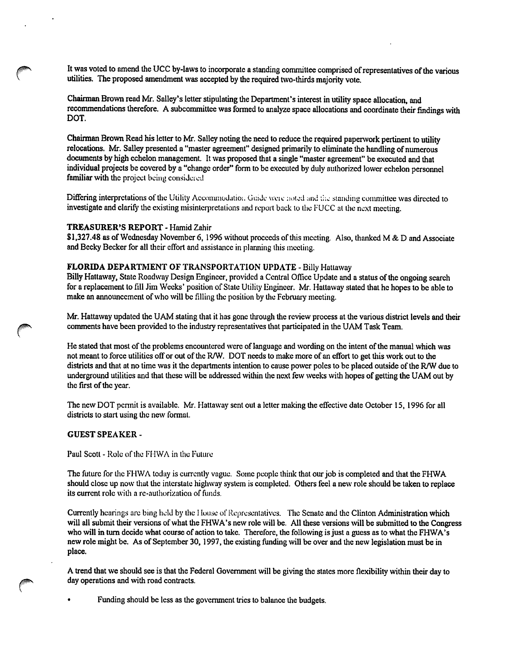It was voted to amend the UCC by-laws to incorporate a standing committee comprised of representatives of the various utilities. The proposed amendment was accepted by the required two-thirds majority vote.

Chairman Brown read Mr. Salley's letter stipulating the Department's interest in utility space allocation, and recommendations therefore. A subcommittee was formed to analyze space allocations and coordinate their findings with DOT.

Chairman Brown Read his letter to Mr. Salley noting the need to reduce the required papenvork pertinent to utility relocations. Mr. Salley presented a "master agreement" designed primarily to eliminate the handling of numerous documents by high echelon management. It was proposed that a single "master agreement" be executed and that individual projects be covered by a "change order" form to be executed by duly authorized lower echelon personnel familiar with the project being considered

Differing interpretations of the Utility Accommodation. Guide were noted and the standing committee was directed to investigate and clarify the existing misinterpretations and report back to the FUCC at the next meeting.

# TREASURER'S REPORT - Hamid Zahir

\$1,327.48 as of Wednesday November 6, 1996 without proceeds of this meeting. Also, thanked M & D and Associate and Becky Becker for all their effort and assistance in planning this meeting.

# FLORIDA DEPARTMENT OF TRANSPORTATION UPDATE - Billy Hattaway

Billy Hattaway, State Roadway Design Engineer, provided a Central Office Update and a status of the ongoing search for a replacement to fill Jim Weeks' position of State Utility Engineer. Mr. Hattaway stated that he hopes to be able to make an announcement of who will be filling the position by the February meeting.

Mr. Hattaway updated the UAM stating that it has gone through the review process at the various district levels and their comments have been provided to the industry representatives that participated in the UAM Task Team.

He stated that most of the problems encountered were of language and wording on the intent of the manual which was not meant to force utilities off or out of the R/W. DOT needs to make more of an effort to get this work out to the districts and that at no time was it the departments intention to cause power poles to be placed outside of the R/W due to underground utilities and that these will be addressed within the next few weeks with hopes of getting the UAM out by the first of the year.

The new DOT permit is available. Mr. Hattaway sent out a letter making the effective date October 15, 1996 for all districts to start using the new format.

## GUEST SPEAKER -

Paul Scott - Role of the FHWA in the Future

The future for the FHWA today is currently vague. Some people think that our job is completed and that the FHWA should close up now that the interstate higliway system is completed. Others feel a new role should be taken to replace its current role with a re-authorization of funds.

Currently hearings are bing held by the 1 louse of Representatives. The Senate and the Clinton Administration which will all submit their versions of what the FHWA's new role will be. All these versions will be submitted to the Congress who will in turn decide what course of action to take. Therefore, the following is just a guess as to what the FHWA's new role might be. As of September 30,1997, the existing funding will be over and the new legislation must be in place.

A trend that we should see is that the Federal Government will be giving the states more flexibility within their day to day operations and with road contracts.

• Funding should be less as the government tries to balance the budgets.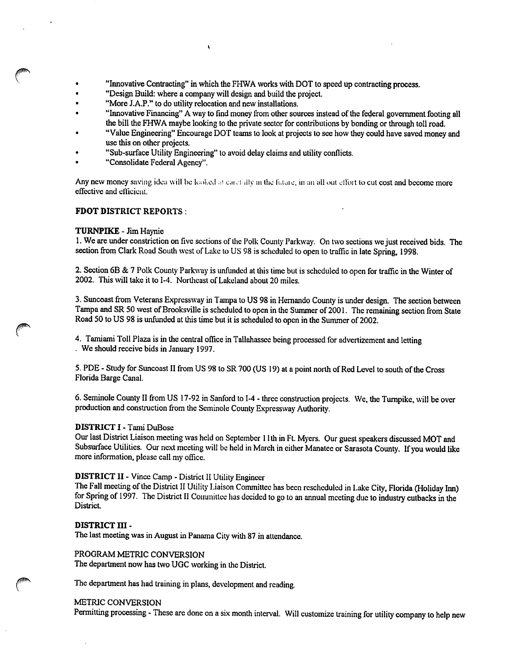- "Innovative Contracting" in which the FHWA works with DOT to speed up contracting process.
- "Design Build: where a company will design and build the projeet.

 $\mathbf{r}$ 

- "More J.A.P." to do utility relocation and new installations.
- "Innovative Financing" A way to find money from other sources instead of the federal government footing all the bill the FHWA maybe looking to the private sector for contributions by bonding or through toll road.
- "Value Engineering" Encourage DOT teams to look at projects to see how they could have saved money and use this on other projects.
- "Sub-surface Utility Engineering" to avoid delay claims and utility conflicts.
- "Consolidate Federal Agency".

Any new money saving idea will be looked at carefully in the future, in an all out effort to cut cost and become more effective and efficient.

# FDOT DISTRICT REPORTS :

# TURNPIKE-Jim Haynie

1. We are under constriction on five sections of the Polk County Parkway. On two sections we just received bids. The section from Clark Road South west of Lake to US 98 is scheduled lo open to traffic in late Spring, 1998.

2. Section 6B & 7 Polk County Parkway is unfunded at this time but is scheduled to open for traffie in the Winter of 2002. This will take it to 1-4. Northeast of Lakeland about 20 miles.

3. Suncoast from Veterans Expressway in Tampa to US 98 in Hernando County is under design. The section between Tampa and SR 50 west of Brooksville is scheduled to open in the Summer of 2001. The remaining section from State Road 50 to US 98 is unfunded at this time but it is scheduled to open in the Summer of 2002.

4. Tamiami Toll Plaza is in the central office in Tallahassee being processed for advertizement and letting . We should receive bids in January 1997.

5. PDE - Study for Suncoast II from US 98 to SR 700 (US 19) at a point north of Red Level to south of the Cross Florida Barge Canal.

6. Seminole County II from US 17-92 in Sanford to 1-4 - three construction projects. We, the Turnpike, will be over production and construction from the Seminole County Expressway Authority.

# DISTRICT I - Tami DuBose

Our last District Liaison meeting was held on September 11 th in Ft. Myers. Our guest speakers discussed MOT and Subsurface Utilities. Our next meeting will be held in March in either Manatee or Sarasota County. If you would like more information, please call my office.

# DISTRICT II - Vince Camp - District II Utility Engineer

The Fall meeting of the District II Utility Liaison Committee has been rescheduled in Lake City, Florida (Holiday Inn) for Spring of 1997. The District II Committee has decided to go to an annual meeting due to industry cutbacks in the District.

## DISTRICT III -

The last meeting was in August in Panama City with 87 in attendance.

PROGRAM METRIC CONVERSION The department now has two UGC working in the District.

The department has had training in plans, development and reading.

# METRIC CONVERSION

Permitting processing - These are done on a six month interval. Will customize training for utility company to help new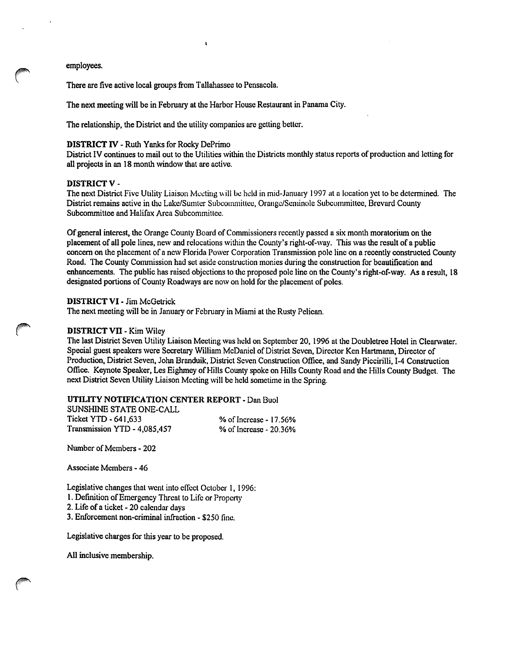employees.

There are five active local groups from Tallahassee to Pensacola.

The next meeting will be in February at the Harbor House Restaurant in Panama City.

 $\pmb{\mathfrak{t}}$ 

The relationship, the District and the utility companies are getting better.

#### DISTRICT IV - Ruth Yanks for Rocky DePrimo

District IV continues to mail out to the Utilities within the Districts monthly status reports of production and letting for all projects in an 18 month window that are active.

## DISTRICT V-

The next District Five Utility Liaison Meeting will be held in mid-January 1997 at a location yet to be determined. The District remains active in the Lake/Sumter Subcommittee, Orange/Seminole Subcommittee, Brevard County Subcommittee and Halifax Area Subcommittee.

Of general interest, the Orange County Board of Commissioners recently passed a six month moratorium on the placement of all pole lines, new and relocations within the County's right-of-way. This was the result of a public concern on the placement of a new Florida Power Corporation Transmission pole line on a recently constructed County Road. The County Commission had set aside construction monies during the construction for beautification and enhancements. The public has raised objections to the proposed pole line on the County's right-of-way. As a result, 18 designated portions of County Roadways are now on hold for the placement of poles.

#### DISTRICT VI - Jim McGetrick

The next meeting will be in January or February in Miami at the Rusty Pelican.

#### DISTRICT VII - Kim Wiley

The last District Seven Utility Liaison Meeting was held on September 20, 1996 at the Doubletree Hotel in Clearwater. Special guest speakers were Secretary William McDanicl of District Seven, Director Ken Hartmann, Director of Production, District Seven, John Branduik, District Seven Construction Office, and Sandy Piccirilli, I-4 Construction Office. Keynote Speaker, Les Eighmey of Hills County spoke on Hills County Road and the Hills County Budget. The next District Seven Utility Liaison Meeting will be held sometime in the Spring.

## UTILITY NOTIFICATION CENTER REPORT - Dan Buol

SUNSHINE STATE ONE-CALL Ticket YTD - 641,633<br>
Transmission YTD - 4,085,457 % of Increase - 20.36% Transmission  $YTD - 4,085,457$ 

Number of Members - 202

Associate Members - 46

Legislative changes that went into effect October 1, 1996:

- 1. Defmition of Emergency Threat to Life or Property
- 2. Life of a ticket 20 calendar days
- 3. Enforcement non-criminal infraction \$250 fine.

Legislative charges for this year to be proposed.

All inclusive membership.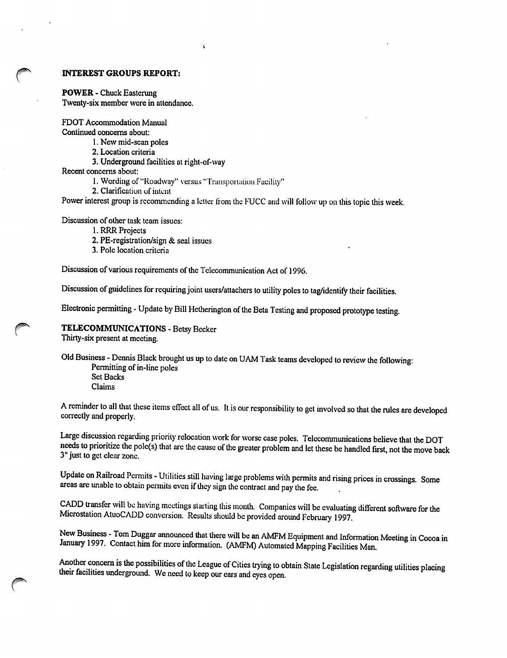# INTEREST GROUPS REPORT:

POWER - Chuck Easterung

Twenty-six member were in attendance.

FOOT Accommodation Manual

Continued concerns about:

1. New mid-scan poles

2. Location criteria

3. Underground facilities at right-of-way

Recent concerns about:

1. Wording of "Roadway" versus "Transportation Facility"

 $\mathbf{r}$ 

2. Clarification of intent

Power interest group is recommending a letter from the I'UCC and will follow up on this topic this week.

Discussion of other task team issues:

1. RRR Projects

- 2. PE-registration/sign & seal issues
- 3. Pole location criteria

Discussion of various requirements of the Telecommunication Act of 1996.

Discussion of guidelines for requiring joint users/attachers to utility poles to tag/identify their facilities.

Electronic permitting - Update by Bill Hetherington of the Beta Testing and proposed prototype testing.

TELECOMMUNICATIONS - Betsy Becker Thirty-six present at meeting.

Old Business - Dennis Black brought us up to date on UAM Task teams developed to review the following: Permitting of in-line poles Set Backs Claims

A reminder to all that these items effect all of us. It is our responsibility to get involved so that the rules are developed correctly and properly.

Large discussion regarding priority relocation work for worse case poles. Telecommunications believe that the DOT needs to prioritize the pole(s) that arc the cause of the greater problem and let these be handled first, not the move back 3" just to get clear zone.

Update on Railroad Permits - Utilities still having large problems with permits and rising prices in crossings. Some areas are unable to obtain permits even if they sign the contract and pay the fee.

CADD transfer will be having meetings starting this month. Companies will be evaluating different software for the Microstation AtuoCADD conversion. Results should be provided around February 1997.

New Business - Tom Duggar announced that there will be an AMFM Equipment and Information Meeting in Cocoa in January 1997. Contact him for more information. (AMFM) Automated Mapping Facilities Man.

Another concern is the possibilities of the League of Cities trying to obtain State Legislation regarding utilities placing their facilities imderground. We need to keep our ears and eyes open.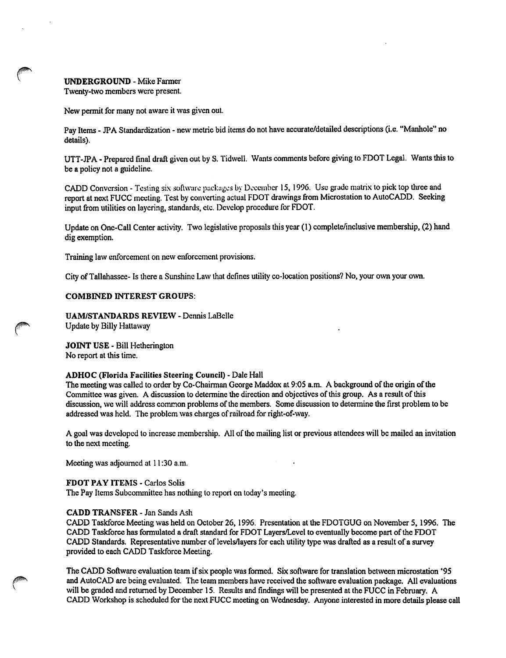## UNDERGROUND - Mike Fanner

Twenty-two members were present.

New permit for many not aware it was given out.

Pay Items - JPA Standardization - new metric bid items do not have accurate/detailed descriptions (i.e. "Manhole" no details).

UTT-JPA - Prepared final draft given out by S. Tidwell. Wants comments before giving to FDOT Legal. Wants this to be a policy not a guideline.

CADD Conversion - Testing six software packages by December 15, 1996. Use grade matrix to pick top three and report at next FUCC meeting. Test by converting actual FDOT drawings from Microstation to AutoCADD. Seeking input from utilities on layering, standards, etc. Develop procedure for FDOT.

Update on One-Call Center activity. Two legislative proposals this year (1) complete/inclusive membership, (2) hand dig exemption.

Training law enforcement on new enforcement provisions.

City of Tallahassee- Is there a Sunshine Law that defines utility co-location positions? No, your own your own.

## COMBINED INTEREST GROUPS:

UAM/STANDARDS REVIEW - Dennis LaBelle Update by Billy Hattaway

JOINT USE - Bill Hetherington No report at this time.

#### ADHOC (Florida Facilities Steering Council) - Dale Hail

The meeting was called to order by Co-Chairman George Maddox at 9:05 a.m. A background of the origin of the Committee was given. A discussion to determine the direction and objectives of this group. As a result of this discussion, we will address common problems of the members. Some discussion to determine the first problem to be addressed was held. The problem was charges of railroad for right-of-way.

A goal was developed to increase membership. All of the mailing list or previous attendees will be mailed an invitation to the next meeting.

Meeting was adjourned at 11:30 a.m.

## FDOT PAY ITEMS - Carlos Solis

The Pay Items Subcommittee has nothing to report on today's meeting.

# CADD TRANSFER - Jan Sands Ash

CADD Taskforce Meeting was held on October 26,1996. Presentation at the FDOTGUG on November 5,1996. The CADD Taskforce has formulated a draft standard for FDOT Layers/Level to eventually become part of the FDOT CADD Standards. Representative number of levels/layers for each utility type was drafted as a result of a survey provided to each CADD Taskforce Meeting.

The CADD Software evaluation team if six people was formed. Six software for translation between microstation \*95 and AutoCAD are being evaluated. The team members have received the software evaluation package. All evaluations will be graded and returned by December 15. Results and findings will be presented at the FUCC in February. A CADD Workshop is scheduled for the next FUCC meeting on Wednesday. Anyone interested in more details please call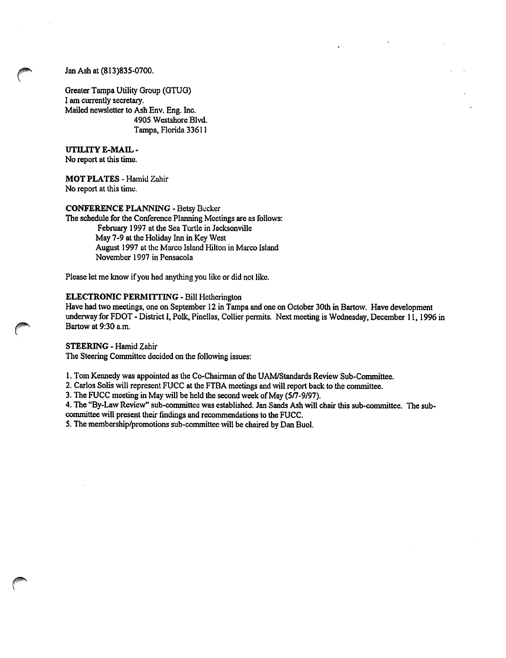# Jan Ash at (813)835-0700.

Greater Tampa Utility Group (GTUG) I am currently secretary. Mailed newsletter to Ash Env. Eng. Inc. 4905 Westshore Blvd. Tampa, Florida 33611

UTILITY E-MAIL-No report at this time.

MOT PLATES - Hamid Zahir No report at this time.

CONFERENCE PLANNING - Betsy Becker

The schedule for the Conference Planning Meetings are as follows: February 1997 at the Sea Turtle in Jacksonville May 7-9 at the Holiday Inn in Key West August 1997 at the Marco Island Hilton in Marco Island November 1997 in Pensaeola

Please let me know if you had anything you like or did not like.

# ELECTRONIC PERMITTING - Bill Hetherington

Have had two meetings, one on September 12 in Tampa and one on October 30th in Bartow. Have development underway for FDOT - District I, Polk, Pinellas, Collier permits. Next meeting is Wednesday, December 11,1996 in Bartow at 9:30 a.m.

## STEERING - Hamid Zahir

The Steering Committee decided on the following issues:

1. Tom Kennedy was appointed as the Co-Chairman of the UAM/Standards Review Sub-Committee.

2. Carlos Solis will represent FUCC at the FTBA meetings and will report back to the committee.

3. The FUCC meeting in May will be held the second week of May (577-9/97).

4. The "By-Law Review" sub-committee was established. Jan Sands Ash will chair this sub-committee. The subcommittee will present their findings and recommendations to the FUCC.

5. The membership/promotions sub-committee will be chaired by Dan Buol.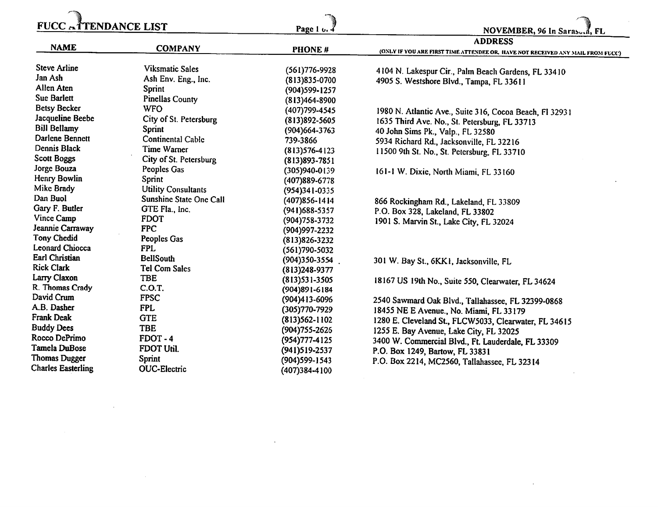| <b>ADDRESS</b><br><b>NAME</b><br><b>COMPANY</b><br>PHONE#<br>(ONLY IF YOU ARE FIRST TIME ATTENDEE OR, HAVE NOT RECEIVED ANY MAIL FROM FUCC)<br><b>Steve Arline</b><br><b>Viksmatic Sales</b><br>$(561)776-9928$<br>4104 N. Lakespur Cir., Palm Beach Gardens, FL 33410<br>Jan Ash<br>Ash Env. Eng., Inc.<br>$(813)835 - 0700$<br>4905 S. Westshore Blvd., Tampa, FL 33611<br>Allen Aten<br>Sprint<br>$(904)599 - 1257$<br><b>Sue Barlett</b><br><b>Pinellas County</b><br>$(813)464 - 8900$<br><b>Betsy Becker</b><br><b>WFO</b><br>(407) 799-4545<br>1980 N. Atlantic Ave., Suite 316, Cocoa Beach, Fl 32931<br>Jacqueline Beebe<br>City of St. Petersburg<br>$(813)892 - 5605$<br>1635 Third Ave. No., St. Petersburg, FL 33713<br><b>Bill Bellamy</b><br>Sprint<br>(904) 664-3763<br>40 John Sims Pk., Valp., FL 32580<br>Darlene Bennett<br><b>Continental Cable</b><br>739-3866<br>5934 Richard Rd., Jacksonville, FL 32216 | <b>FUCC ATTENDANCE LIST</b> |  | Page 1 u. 4 | NOVEMBER, 96 In Saraso.d, FL |  |
|----------------------------------------------------------------------------------------------------------------------------------------------------------------------------------------------------------------------------------------------------------------------------------------------------------------------------------------------------------------------------------------------------------------------------------------------------------------------------------------------------------------------------------------------------------------------------------------------------------------------------------------------------------------------------------------------------------------------------------------------------------------------------------------------------------------------------------------------------------------------------------------------------------------------------------|-----------------------------|--|-------------|------------------------------|--|
|                                                                                                                                                                                                                                                                                                                                                                                                                                                                                                                                                                                                                                                                                                                                                                                                                                                                                                                                  |                             |  |             |                              |  |
|                                                                                                                                                                                                                                                                                                                                                                                                                                                                                                                                                                                                                                                                                                                                                                                                                                                                                                                                  |                             |  |             |                              |  |
|                                                                                                                                                                                                                                                                                                                                                                                                                                                                                                                                                                                                                                                                                                                                                                                                                                                                                                                                  |                             |  |             |                              |  |
|                                                                                                                                                                                                                                                                                                                                                                                                                                                                                                                                                                                                                                                                                                                                                                                                                                                                                                                                  |                             |  |             |                              |  |
|                                                                                                                                                                                                                                                                                                                                                                                                                                                                                                                                                                                                                                                                                                                                                                                                                                                                                                                                  |                             |  |             |                              |  |
|                                                                                                                                                                                                                                                                                                                                                                                                                                                                                                                                                                                                                                                                                                                                                                                                                                                                                                                                  |                             |  |             |                              |  |
|                                                                                                                                                                                                                                                                                                                                                                                                                                                                                                                                                                                                                                                                                                                                                                                                                                                                                                                                  |                             |  |             |                              |  |
|                                                                                                                                                                                                                                                                                                                                                                                                                                                                                                                                                                                                                                                                                                                                                                                                                                                                                                                                  |                             |  |             |                              |  |
|                                                                                                                                                                                                                                                                                                                                                                                                                                                                                                                                                                                                                                                                                                                                                                                                                                                                                                                                  |                             |  |             |                              |  |
| Time Warner<br>$(813)576-4123$<br>11500 9th St. No., St. Petersburg, FL 33710                                                                                                                                                                                                                                                                                                                                                                                                                                                                                                                                                                                                                                                                                                                                                                                                                                                    | Dennis Black                |  |             |                              |  |
| <b>Scott Boggs</b><br>City of St. Petersburg<br>$(813)893 - 7851$                                                                                                                                                                                                                                                                                                                                                                                                                                                                                                                                                                                                                                                                                                                                                                                                                                                                |                             |  |             |                              |  |
| Jorge Bouza<br>Peoples Gas<br>$(305)940 - 0139$<br>161-1 W. Dixie, North Miami, FL 33160                                                                                                                                                                                                                                                                                                                                                                                                                                                                                                                                                                                                                                                                                                                                                                                                                                         |                             |  |             |                              |  |
| Henry Bowlin<br>Sprint<br>(407)889-6778                                                                                                                                                                                                                                                                                                                                                                                                                                                                                                                                                                                                                                                                                                                                                                                                                                                                                          |                             |  |             |                              |  |
| Mike Brady<br><b>Utility Consultants</b><br>(954)341-0335                                                                                                                                                                                                                                                                                                                                                                                                                                                                                                                                                                                                                                                                                                                                                                                                                                                                        |                             |  |             |                              |  |
| Dan Buol<br>Sunshine State One Call<br>$(407)856 - 1414$<br>866 Rockingham Rd., Lakeland, FL 33809                                                                                                                                                                                                                                                                                                                                                                                                                                                                                                                                                                                                                                                                                                                                                                                                                               |                             |  |             |                              |  |
| Gary F. Butler<br>GTE Fla., Inc.<br>$(941)$ 688-5357<br>P.O. Box 328, Lakeland, FL 33802                                                                                                                                                                                                                                                                                                                                                                                                                                                                                                                                                                                                                                                                                                                                                                                                                                         |                             |  |             |                              |  |
| Vince Camp<br><b>FDOT</b><br>(904) 758-3732<br>1901 S. Marvin St., Lake City, FL 32024                                                                                                                                                                                                                                                                                                                                                                                                                                                                                                                                                                                                                                                                                                                                                                                                                                           |                             |  |             |                              |  |
| Jeannie Carraway<br><b>FPC</b><br>(904) 997-2232                                                                                                                                                                                                                                                                                                                                                                                                                                                                                                                                                                                                                                                                                                                                                                                                                                                                                 |                             |  |             |                              |  |
| <b>Tony Chedid</b><br>Peoples Gas<br>$(813)826 - 3232$                                                                                                                                                                                                                                                                                                                                                                                                                                                                                                                                                                                                                                                                                                                                                                                                                                                                           |                             |  |             |                              |  |
| Leonard Chiocca<br><b>FPL</b><br>$(561)790 - 5032$                                                                                                                                                                                                                                                                                                                                                                                                                                                                                                                                                                                                                                                                                                                                                                                                                                                                               |                             |  |             |                              |  |
| Earl Christian<br><b>BellSouth</b><br>(904)350-3554<br>301 W. Bay St., 6KK1, Jacksonville, FL                                                                                                                                                                                                                                                                                                                                                                                                                                                                                                                                                                                                                                                                                                                                                                                                                                    |                             |  |             |                              |  |
| <b>Rick Clark</b><br>Tel Com Sales<br>(813)248-9377                                                                                                                                                                                                                                                                                                                                                                                                                                                                                                                                                                                                                                                                                                                                                                                                                                                                              |                             |  |             |                              |  |
| Larry Claxon<br>TBE<br>$(813)$ 531-3505<br>18167 US 19th No., Suite 550, Clearwater, FL 34624                                                                                                                                                                                                                                                                                                                                                                                                                                                                                                                                                                                                                                                                                                                                                                                                                                    |                             |  |             |                              |  |
| R. Thomas Crady<br>C.O.T.<br>$(904)891 - 6184$                                                                                                                                                                                                                                                                                                                                                                                                                                                                                                                                                                                                                                                                                                                                                                                                                                                                                   |                             |  |             |                              |  |
| David Crum<br><b>FPSC</b><br>(904)413-6096<br>2540 Sawmard Oak Blvd., Tallahassee, FL 32399-0868                                                                                                                                                                                                                                                                                                                                                                                                                                                                                                                                                                                                                                                                                                                                                                                                                                 |                             |  |             |                              |  |
| A.B. Dasher<br><b>FPL</b><br>(305) 770-7929<br>18455 NE E Avenue., No. Miami, FL 33179                                                                                                                                                                                                                                                                                                                                                                                                                                                                                                                                                                                                                                                                                                                                                                                                                                           |                             |  |             |                              |  |
| Frank Deak<br><b>GTE</b><br>$(813)562 - 1102$<br>1280 E. Cleveland St., FLCW5033, Clearwater, FL 34615                                                                                                                                                                                                                                                                                                                                                                                                                                                                                                                                                                                                                                                                                                                                                                                                                           |                             |  |             |                              |  |
| <b>Buddy Dees</b><br><b>TBE</b><br>(904) 755-2626<br>1255 E. Bay Avenue, Lake City, FL 32025                                                                                                                                                                                                                                                                                                                                                                                                                                                                                                                                                                                                                                                                                                                                                                                                                                     |                             |  |             |                              |  |
| Rocco DePrimo<br>FDOT-4<br>(954) 777-4125<br>3400 W. Commercial Blvd., Ft. Lauderdale, FL 33309                                                                                                                                                                                                                                                                                                                                                                                                                                                                                                                                                                                                                                                                                                                                                                                                                                  |                             |  |             |                              |  |
| Tamela DuBose<br>FDOT Util.<br>(941)519-2537<br>P.O. Box 1249, Bartow, FL 33831                                                                                                                                                                                                                                                                                                                                                                                                                                                                                                                                                                                                                                                                                                                                                                                                                                                  |                             |  |             |                              |  |
| Thomas Dugger<br>Sprint<br>(904)599-1543<br>P.O. Box 2214, MC2560, Tallahassee, FL 32314                                                                                                                                                                                                                                                                                                                                                                                                                                                                                                                                                                                                                                                                                                                                                                                                                                         |                             |  |             |                              |  |
| <b>Charles Easterling</b><br><b>OUC-Electric</b><br>$(407)384 - 4100$                                                                                                                                                                                                                                                                                                                                                                                                                                                                                                                                                                                                                                                                                                                                                                                                                                                            |                             |  |             |                              |  |

 $\label{eq:2.1} \frac{1}{2} \int_{\mathbb{R}^3} \frac{1}{\sqrt{2}} \, \frac{1}{\sqrt{2}} \, \frac{1}{\sqrt{2}} \, \frac{1}{\sqrt{2}} \, \frac{1}{\sqrt{2}} \, \frac{1}{\sqrt{2}} \, \frac{1}{\sqrt{2}} \, \frac{1}{\sqrt{2}} \, \frac{1}{\sqrt{2}} \, \frac{1}{\sqrt{2}} \, \frac{1}{\sqrt{2}} \, \frac{1}{\sqrt{2}} \, \frac{1}{\sqrt{2}} \, \frac{1}{\sqrt{2}} \, \frac{1}{\sqrt{2}} \, \frac{1}{\sqrt{2}} \,$ 

 $\label{eq:2.1} \frac{1}{\sqrt{2}}\int_{\mathbb{R}^3}\frac{1}{\sqrt{2}}\left(\frac{1}{\sqrt{2}}\right)^2\frac{1}{\sqrt{2}}\left(\frac{1}{\sqrt{2}}\right)^2\frac{1}{\sqrt{2}}\left(\frac{1}{\sqrt{2}}\right)^2\frac{1}{\sqrt{2}}\left(\frac{1}{\sqrt{2}}\right)^2\frac{1}{\sqrt{2}}\left(\frac{1}{\sqrt{2}}\right)^2\frac{1}{\sqrt{2}}\frac{1}{\sqrt{2}}\frac{1}{\sqrt{2}}\frac{1}{\sqrt{2}}\frac{1}{\sqrt{2}}\frac{1}{\sqrt{2}}$ 

 $\label{eq:2.1} \frac{1}{\sqrt{2}}\int_{\mathbb{R}^3}\frac{1}{\sqrt{2}}\left(\frac{1}{\sqrt{2}}\right)^2\frac{1}{\sqrt{2}}\left(\frac{1}{\sqrt{2}}\right)^2\frac{1}{\sqrt{2}}\left(\frac{1}{\sqrt{2}}\right)^2\frac{1}{\sqrt{2}}\left(\frac{1}{\sqrt{2}}\right)^2\frac{1}{\sqrt{2}}\left(\frac{1}{\sqrt{2}}\right)^2\frac{1}{\sqrt{2}}\frac{1}{\sqrt{2}}\frac{1}{\sqrt{2}}\frac{1}{\sqrt{2}}\frac{1}{\sqrt{2}}\frac{1}{\sqrt{2}}$ 

 $\mathcal{L}(\mathcal{L}(\mathcal{L}))$  and  $\mathcal{L}(\mathcal{L}(\mathcal{L}))$  . The contribution of  $\mathcal{L}(\mathcal{L})$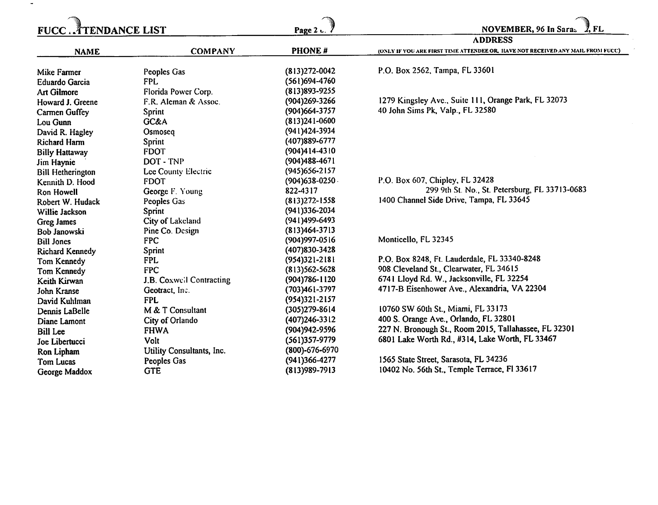| ATENDANCE LIST.<br><b>FUCC</b> |                                 | Page 2 u.           | NOVEMBER, 96 In Saras<br>2. FL                                                                   |
|--------------------------------|---------------------------------|---------------------|--------------------------------------------------------------------------------------------------|
| <b>NAME</b>                    | <b>COMPANY</b>                  | PHONE#              | <b>ADDRESS</b><br>(ONLY IF YOU ARE FIRST TIME ATTENDEE OR, HAVE NOT RECEIVED ANY MAIL FROM FUCC) |
|                                |                                 |                     |                                                                                                  |
| Mike Farmer                    | Peoples Gas                     | $(813)272 - 0042$   | P.O. Box 2562, Tampa, FL 33601                                                                   |
| <b>Eduardo Garcia</b>          | <b>FPL</b>                      | (561)694-4760       |                                                                                                  |
| <b>Art Gilmore</b>             | Florida Power Corp.             | $(813)893 - 9255$   |                                                                                                  |
| Howard J. Greene               | F.R. Aleman & Assoc.            | (904)269-3266       | 1279 Kingsley Ave., Suite 111, Orange Park, FL 32073                                             |
| Carmen Guffey                  | Sprint                          | (904) 664-3757      | 40 John Sims Pk, Valp., FL 32580                                                                 |
| Lou Gunn                       | GC&A                            | $(813)241 - 0600$   |                                                                                                  |
| David R. Hagley                | Osmoseq                         | (941) 424-3934      |                                                                                                  |
| Richard Harm                   | Sprint                          | (407) 889-6777      |                                                                                                  |
| <b>Billy Hattaway</b>          | <b>FDOT</b>                     | $(904)414 - 4310$   |                                                                                                  |
| Jim Haynie                     | DOT - TNP                       | $(904)488 - 4671$   |                                                                                                  |
| <b>Bill Hetherington</b>       | Lee County Electric             | (945) 656-2157      |                                                                                                  |
| Kennith D. Hood                | <b>FDOT</b>                     | $(904)638 - 0250$ . | P.O. Box 607, Chipley, FL 32428                                                                  |
| <b>Ron Howell</b>              | George F. Young                 | 822-4317            | 299 9th St. No., St. Petersburg, FL 33713-0683                                                   |
| Robert W. Hudack               | Peoples Gas                     | $(813)272 - 1558$   | 1400 Channel Side Drive, Tampa, FL 33645                                                         |
| Willie Jackson                 | Sprint                          | $(941)336 - 2034$   |                                                                                                  |
| Greg James                     | City of Lakeland                | (941)499-6493       |                                                                                                  |
| Bob Janowski                   | Pine Co. Design                 | $(813)464 - 3713$   |                                                                                                  |
| <b>Bill Jones</b>              | <b>FPC</b>                      | (904) 997-0516      | Monticello, FL 32345                                                                             |
| <b>Richard Kennedy</b>         | Sprint                          | (407)830-3428       |                                                                                                  |
| Tom Kennedy                    | <b>FPL</b>                      | $(954)321 - 2181$   | P.O. Box 8248, Ft. Lauderdale, FL 33340-8248                                                     |
| Tom Kennedy                    | <b>FPC</b>                      | $(813)562 - 5628$   | 908 Cleveland St., Clearwater, FL 34615                                                          |
| Keith Kirwan                   | <b>J.B. Coxwell Contracting</b> | $(904)786 - 1120$   | 6741 Lloyd Rd. W., Jacksonville, FL 32254                                                        |
| John Kranse                    | Geotract, Inc.                  | (703)461-3797       | 4717-B Eisenhower Ave., Alexandria, VA 22304                                                     |
| David Kuhlman                  | <b>FPL</b>                      | $(954)321 - 2157$   |                                                                                                  |
| Dennis LaBelle                 | M & T Consultant                | $(305)279 - 8614$   | 10760 SW 60th St., Miami, FL 33173                                                               |
| Diane Lamont                   | City of Orlando                 | $(407)246 - 3312$   | 400 S. Orange Ave., Orlando, FL 32801                                                            |
| <b>Bill Lee</b>                | <b>FHWA</b>                     | (904) 942-9596      | 227 N. Bronough St., Room 2015, Tallahassee, FL 32301                                            |
| Joe Libertucci                 | Volt                            | $(561)357-9779$     | 6801 Lake Worth Rd., #314, Lake Worth, FL 33467                                                  |
| Ron Lipham                     | Utility Consultants, Inc.       | (800)-676-6970      |                                                                                                  |
| Tom Lucas                      | Peoples Gas                     | (941)366-4277       | 1565 State Street, Sarasota, FL 34236                                                            |
| George Maddox                  | <b>GTE</b>                      | $(813)989 - 7913$   | 10402 No. 56th St., Temple Terrace, Fl 33617                                                     |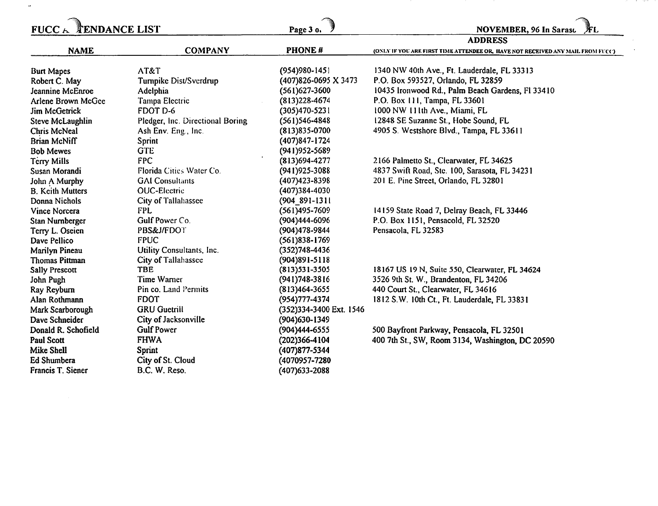| <b>FUCC</b>             | <b>ENDANCE LIST</b>              | Page 3 o.               | <b>NOVEMBER, 96 In Sarasc</b>                                                  |
|-------------------------|----------------------------------|-------------------------|--------------------------------------------------------------------------------|
|                         |                                  |                         | <b>ADDRESS</b>                                                                 |
| <b>NAME</b>             | <b>COMPANY</b>                   | PHONE#                  | (ONLY IF YOU ARE FIRST TIME ATTENDEE OR, HAVE NOT RECEIVED ANY MAIL FROM FUCC) |
| <b>Burt Mapes</b>       | AT&T                             | $(954)980 - 1451$       | 1340 NW 40th Ave., Ft. Lauderdale, FL 33313                                    |
| Robert C. May           | Tumpike Dist/Sverdrup            | (407)826-0695 X 3473    | P.O. Box 593527, Orlando, FL 32859                                             |
| Jeannine McEnroe        | Adelphia                         | $(561)627 - 3600$       | 10435 Ironwood Rd., Palm Beach Gardens, Fl 33410                               |
| Arlene Brown McGee      | Tampa Electric                   | $(813)$ 228-4674        | P.O. Box 111, Tampa, FL 33601                                                  |
| Jim McGetrick           | FDOT D-6                         | $(305)470 - 5231$       | 1000 NW 111th Ave., Miami, FL                                                  |
| Steve McLaughlin        | Pledger, Inc. Directional Boring | $(561)$ 546-4848        | 12848 SE Suzanne St., Hobe Sound, FL                                           |
| Chris McNeal            | Ash Env. Eng., Inc.              | $(813)835 - 0700$       | 4905 S. Westshore Blvd., Tampa, FL 33611                                       |
| <b>Brian McNiff</b>     | <b>Sprint</b>                    | $(407)847 - 1724$       |                                                                                |
| <b>Bob Mewes</b>        | <b>GTE</b>                       | (941) 952-5689          |                                                                                |
| <b>Terry Mills</b>      | <b>FPC</b>                       | $(813)694-4277$         | 2166 Palmetto St., Clearwater, FL 34625                                        |
| Susan Morandi           | Florida Cities Water Co.         | $(941)925 - 3088$       | 4837 Swift Road, Ste. 100, Sarasota, FL 34231                                  |
| John A Murphy           | <b>GAI</b> Consultants           | $(407)423 - 8398$       | 201 E. Pine Street, Orlando, FL 32801                                          |
| <b>B. Keith Mutters</b> | <b>OUC-Electric</b>              | (407)384-4030           |                                                                                |
| Donna Nichols           | City of Tallahassee              | $(904 891 - 1311)$      |                                                                                |
| Vince Norcera           | <b>FPL</b>                       | $(561)495 - 7609$       | 14159 State Road 7, Delray Beach, FL 33446                                     |
| Stan Nurnberger         | Gulf Power Co.                   | (904)444-6096           | P.O. Box 1151, Pensacold, FL 32520                                             |
| Terry L. Oseien         | <b>PBS&amp;J/FDOT</b>            | (904) 478-9844          | Pensacola, FL 32583                                                            |
| Dave Pellico            | <b>FPUC</b>                      | $(561)838 - 1769$       |                                                                                |
| Marilyn Pineau          | Utility Consultants, Inc.        | $(352)748 - 4436$       |                                                                                |
| <b>Thomas Pittman</b>   | City of Tallahassee              | $(904)891 - 5118$       |                                                                                |
| <b>Sally Prescott</b>   | <b>TBE</b>                       | $(813)531 - 3505$       | 18167 US 19 N, Suite 550, Clearwater, FL 34624                                 |
| John Pugh               | Time Warner                      | $(941)748 - 3816$       | 3526 9th St. W., Brandenton, FL 34206                                          |
| Ray Reyburn             | Pin co. Land Permits             | $(813)464 - 3655$       | 440 Court St., Clearwater, FL 34616                                            |
| Alan Rothmann           | <b>FDOT</b>                      | (954) 777-4374          | 1812 S.W. 10th Ct., Ft. Lauderdale, FL 33831                                   |
| Mark Scarborough        | <b>GRU</b> Guetrill              | (352)334-3400 Ext. 1546 |                                                                                |
| Dave Schneider          | City of Jacksonville             | (904) 630 - 1349        |                                                                                |
| Donald R. Schofield     | <b>Gulf Power</b>                | (904)444-6555           | 500 Bayfront Parkway, Pensacola, FL 32501                                      |
| <b>Paul Scott</b>       | <b>FHWA</b>                      | $(202)366 - 4104$       | 400 7th St., SW, Room 3134, Washington, DC 20590                               |
| <b>Mike Shell</b>       | Sprint                           | (407)877-5344           |                                                                                |
| Ed Shumbera             | City of St. Cloud                | (4070957-7280           |                                                                                |
| Francis T. Siener       | B.C. W. Reso.                    | (407) 633-2088          |                                                                                |

 $\langle \cdot, \cdot \rangle$ 

and the state of

 $\frac{d}{dt} \left( \frac{d}{dt} \right) = \frac{1}{2} \left( \frac{d}{dt} \right)$